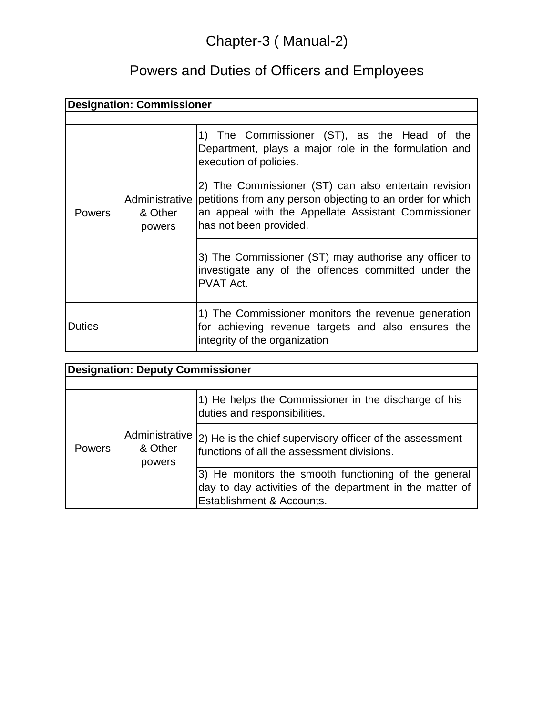## Chapter-3 ( Manual-2)

## Powers and Duties of Officers and Employees

| <b>Designation: Commissioner</b> |                   |                                                                                                                                                                                                                   |  |  |
|----------------------------------|-------------------|-------------------------------------------------------------------------------------------------------------------------------------------------------------------------------------------------------------------|--|--|
|                                  |                   |                                                                                                                                                                                                                   |  |  |
| <b>Powers</b>                    | & Other<br>powers | 1) The Commissioner (ST), as the Head of the<br>Department, plays a major role in the formulation and<br>execution of policies.                                                                                   |  |  |
|                                  |                   | 2) The Commissioner (ST) can also entertain revision<br>Administrative petitions from any person objecting to an order for which<br>an appeal with the Appellate Assistant Commissioner<br>has not been provided. |  |  |
|                                  |                   | 3) The Commissioner (ST) may authorise any officer to<br>investigate any of the offences committed under the<br><b>PVAT Act.</b>                                                                                  |  |  |
| Duties                           |                   | 1) The Commissioner monitors the revenue generation<br>for achieving revenue targets and also ensures the<br>integrity of the organization                                                                        |  |  |

| <b>Designation: Deputy Commissioner</b> |                                     |                                                                                                                                               |  |  |
|-----------------------------------------|-------------------------------------|-----------------------------------------------------------------------------------------------------------------------------------------------|--|--|
|                                         |                                     |                                                                                                                                               |  |  |
| <b>Powers</b>                           | Administrative<br>& Other<br>powers | 1) He helps the Commissioner in the discharge of his<br>duties and responsibilities.                                                          |  |  |
|                                         |                                     | (2) He is the chief supervisory officer of the assessment<br>functions of all the assessment divisions.                                       |  |  |
|                                         |                                     | 3) He monitors the smooth functioning of the general<br>day to day activities of the department in the matter of<br>Establishment & Accounts. |  |  |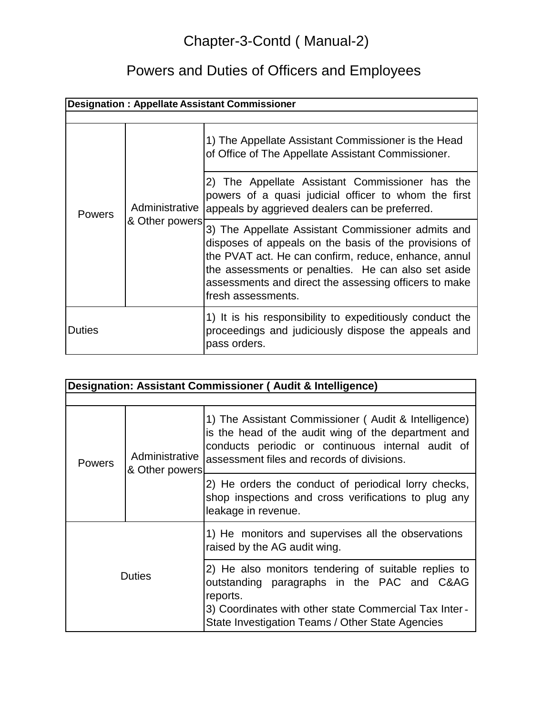## Chapter-3-Contd ( Manual-2)

# Powers and Duties of Officers and Employees

| <b>Designation: Appellate Assistant Commissioner</b> |                                  |                                                                                                                                                                                                                                                                                                           |  |  |
|------------------------------------------------------|----------------------------------|-----------------------------------------------------------------------------------------------------------------------------------------------------------------------------------------------------------------------------------------------------------------------------------------------------------|--|--|
|                                                      |                                  |                                                                                                                                                                                                                                                                                                           |  |  |
| <b>Powers</b>                                        | Administrative<br>& Other powers | 1) The Appellate Assistant Commissioner is the Head<br>of Office of The Appellate Assistant Commissioner.                                                                                                                                                                                                 |  |  |
|                                                      |                                  | 2) The Appellate Assistant Commissioner has the<br>powers of a quasi judicial officer to whom the first<br>appeals by aggrieved dealers can be preferred.                                                                                                                                                 |  |  |
|                                                      |                                  | 3) The Appellate Assistant Commissioner admits and<br>disposes of appeals on the basis of the provisions of<br>the PVAT act. He can confirm, reduce, enhance, annul<br>the assessments or penalties. He can also set aside<br>assessments and direct the assessing officers to make<br>fresh assessments. |  |  |
| <b>Duties</b>                                        |                                  | 1) It is his responsibility to expeditiously conduct the<br>proceedings and judiciously dispose the appeals and<br>pass orders.                                                                                                                                                                           |  |  |

| Designation: Assistant Commissioner (Audit & Intelligence) |                                  |                                                                                                                                                                                                                             |  |  |
|------------------------------------------------------------|----------------------------------|-----------------------------------------------------------------------------------------------------------------------------------------------------------------------------------------------------------------------------|--|--|
| <b>Powers</b>                                              | Administrative<br>& Other powers | 1) The Assistant Commissioner (Audit & Intelligence)<br>is the head of the audit wing of the department and<br>conducts periodic or continuous internal audit of<br>assessment files and records of divisions.              |  |  |
|                                                            |                                  | 2) He orders the conduct of periodical lorry checks,<br>shop inspections and cross verifications to plug any<br>leakage in revenue.                                                                                         |  |  |
| <b>Duties</b>                                              |                                  | 1) He monitors and supervises all the observations<br>raised by the AG audit wing.                                                                                                                                          |  |  |
|                                                            |                                  | 2) He also monitors tendering of suitable replies to<br>outstanding paragraphs in the PAC and C&AG<br>reports.<br>3) Coordinates with other state Commercial Tax Inter-<br>State Investigation Teams / Other State Agencies |  |  |